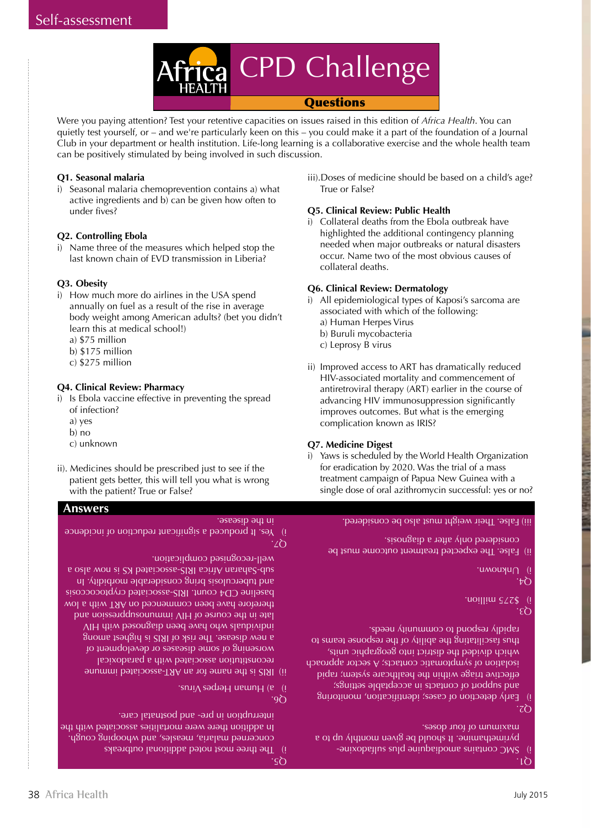

Were you paying attention? Test your retentive capacities on issues raised in this edition of *Africa Health*. You can quietly test yourself, or – and we're particularly keen on this – you could make it a part of the foundation of a Journal Club in your department or health institution. Life-long learning is a collaborative exercise and the whole health team can be positively stimulated by being involved in such discussion.

# **Q1. Seasonal malaria**

i) Seasonal malaria chemoprevention contains a) what active ingredients and b) can be given how often to under fives?

# **Q2. Controlling Ebola**

i) Name three of the measures which helped stop the last known chain of EVD transmission in Liberia?

## **Q3. Obesity**

- i) How much more do airlines in the USA spend annually on fuel as a result of the rise in average body weight among American adults? (bet you didn't learn this at medical school!)
	- a) \$75 million b) \$175 million
	-
	- c) \$275 million

## **Q4. Clinical Review: Pharmacy**

- i) Is Ebola vaccine effective in preventing the spread of infection?
	- a) yes
	- b) no
	- c) unknown
- ii). Medicines should be prescribed just to see if the patient gets better, this will tell you what is wrong with the patient? True or False?

# **Answers**

#### in the disease.

 $Z\Omega$ i) Yes. It produced a significant reduction incidence

well-recognised complication.

IRIS is the name for an ART-associated immune reconstitution associated with a paradoxical worsening of some diseases or development of a new disease. The risk of IRI is higher as a sum as individuals who have been diagnosed with HIV late in the course of HIV immunosuppression and therefore have been commenced on ART with a low baseline CD4 count. IRIS-associated cryptococcosis and tuberculosis bring considerable morbidity. In s oals won ai 2X betsiooezs-2191 sointA natadaed as

Q6.  $\cdot$ snı $\cdot$  sədiə $H$  uewn $H$  (e) (i)

- concerned malaria, measles, and whooping cough. In addition there were mortalities associated with the interruption in pre- and postnatal care.
	- $\varsigma$ ስ The three most noted additional outbreaks

iii).Doses of medicine should be based on a child's age? True or False?

# **Q5. Clinical Review: Public Health**

i) Collateral deaths from the Ebola outbreak have highlighted the additional contingency planning needed when major outbreaks or natural disasters occur. Name two of the most obvious causes of collateral deaths.

# **Q6. Clinical Review: Dermatology**

- i) All epidemiological types of Kaposi's sarcoma are associated with which of the following: a) Human Herpes Virus b) Buruli mycobacteria c) Leprosy B virus
- ii) Improved access to ART has dramatically reduced HIV-associated mortality and commencement of antiretroviral therapy (ART) earlier in the course of advancing HIV immunosuppression significantly improves outcomes. But what is the emerging complication known as IRIS?

## **Q7. Medicine Digest**

i) Yaws is scheduled by the World Health Organization for eradication by 2020. Was the trial of a mass treatment campaign of Papua New Guinea with a single dose of oral azithromycin successful: yes or no?

False. Their weight must also be considered. iii)

ii) False. The expected treatment outcome must be considered only after a diagnosis.

i) Unknown.

Q4.

 $\overline{2}$  275 million.

Q3.

i) Early detection of cases; identification, monitoring and settings; represent in acceptable settings; effective triage within the healthcare system; rapid isolation of symptomatic contacts; A sector approach which divided the district into geographic units, thus facilitating the ability of the response to the ability rspaau *A*ijuntutuop of brodsaa *A*ipidea

Q2.

Q1.

SMC courselus suld auinperious and incorportions pyrimethamine. It should be given monthly up to a sasop *inot* to mumixsm.